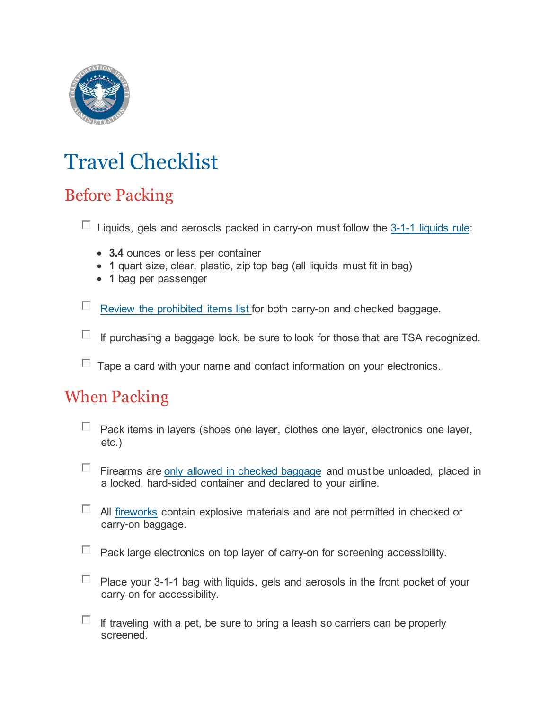

# Travel Checklist

# Before Packing

 $\Box$  Liquids, gels and aerosols packed in carry-on must follow the  $3-1-1$  liquids rule:

- **3.4** ounces or less per container
- **1** quart size, clear, plastic, zip top bag (all liquids must fit in bag)
- **1** bag per passenger

[Review the prohibited items list](https://www.tsa.gov/travel/security-screening/prohibited-items) for both carry-on and checked baggage.

 $\Box$  If purchasing a baggage lock, be sure to look for those that are TSA recognized.

 $\Box$  Tape a card with your name and contact information on your electronics.

#### When Packing

- **Pack items in layers (shoes one layer, clothes one layer, electronics one layer,** etc.)
- Firearms are [only allowed in checked baggage](https://www.tsa.gov/travel/transporting-firearms-and-ammunition) and must be unloaded, placed in a locked, hard-sided container and declared to your airline.
- $\Box$  All [fireworks](https://www.tsa.gov/travel/security-screening/prohibited-items) contain explosive materials and are not permitted in checked or carry-on baggage.
- $\Box$  Pack large electronics on top layer of carry-on for screening accessibility.
- **Place your 3-1-1 bag with liquids, gels and aerosols in the front pocket of your** carry-on for accessibility.
- $\Box$  If traveling with a pet, be sure to bring a leash so carriers can be properly screened.